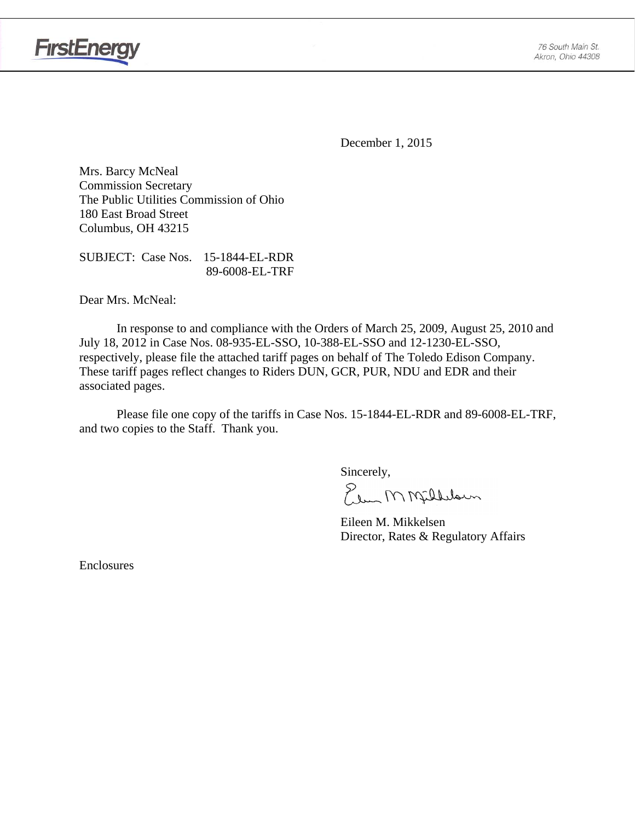

**FirstEnergy** 

December 1, 2015

Mrs. Barcy McNeal Commission Secretary The Public Utilities Commission of Ohio 180 East Broad Street Columbus, OH 43215

SUBJECT: Case Nos. 15-1844-EL-RDR 89-6008-EL-TRF

Dear Mrs. McNeal:

 In response to and compliance with the Orders of March 25, 2009, August 25, 2010 and July 18, 2012 in Case Nos. 08-935-EL-SSO, 10-388-EL-SSO and 12-1230-EL-SSO, respectively, please file the attached tariff pages on behalf of The Toledo Edison Company. These tariff pages reflect changes to Riders DUN, GCR, PUR, NDU and EDR and their associated pages.

Please file one copy of the tariffs in Case Nos. 15-1844-EL-RDR and 89-6008-EL-TRF, and two copies to the Staff. Thank you.

Sincerely,

Elem M Milleloun

 Eileen M. Mikkelsen Director, Rates & Regulatory Affairs

Enclosures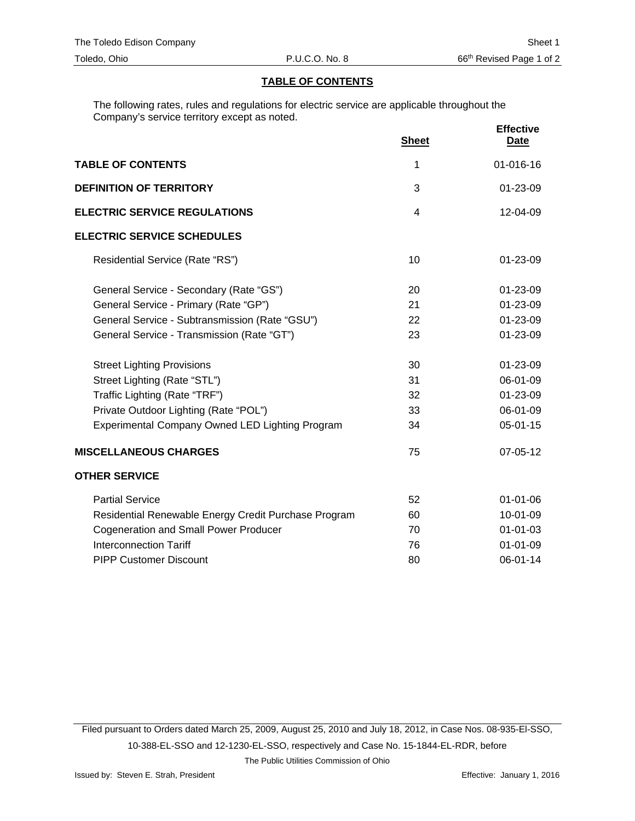#### **TABLE OF CONTENTS**

The following rates, rules and regulations for electric service are applicable throughout the Company's service territory except as noted.

|                                                      | <b>Sheet</b> | <b>Effective</b><br><u>Date</u> |
|------------------------------------------------------|--------------|---------------------------------|
| <b>TABLE OF CONTENTS</b>                             | 1            | 01-016-16                       |
| <b>DEFINITION OF TERRITORY</b>                       | 3            | 01-23-09                        |
| <b>ELECTRIC SERVICE REGULATIONS</b>                  | 4            | 12-04-09                        |
| <b>ELECTRIC SERVICE SCHEDULES</b>                    |              |                                 |
| Residential Service (Rate "RS")                      | 10           | 01-23-09                        |
| General Service - Secondary (Rate "GS")              | 20           | 01-23-09                        |
| General Service - Primary (Rate "GP")                | 21           | 01-23-09                        |
| General Service - Subtransmission (Rate "GSU")       | 22           | 01-23-09                        |
| General Service - Transmission (Rate "GT")           | 23           | 01-23-09                        |
| <b>Street Lighting Provisions</b>                    | 30           | 01-23-09                        |
| Street Lighting (Rate "STL")                         | 31           | 06-01-09                        |
| Traffic Lighting (Rate "TRF")                        | 32           | 01-23-09                        |
| Private Outdoor Lighting (Rate "POL")                | 33           | 06-01-09                        |
| Experimental Company Owned LED Lighting Program      | 34           | $05 - 01 - 15$                  |
| <b>MISCELLANEOUS CHARGES</b>                         | 75           | 07-05-12                        |
| <b>OTHER SERVICE</b>                                 |              |                                 |
| <b>Partial Service</b>                               | 52           | $01 - 01 - 06$                  |
| Residential Renewable Energy Credit Purchase Program | 60           | 10-01-09                        |
| <b>Cogeneration and Small Power Producer</b>         | 70           | $01 - 01 - 03$                  |
| <b>Interconnection Tariff</b>                        | 76           | $01 - 01 - 09$                  |
| <b>PIPP Customer Discount</b>                        | 80           | 06-01-14                        |

Filed pursuant to Orders dated March 25, 2009, August 25, 2010 and July 18, 2012, in Case Nos. 08-935-El-SSO, 10-388-EL-SSO and 12-1230-EL-SSO, respectively and Case No. 15-1844-EL-RDR, before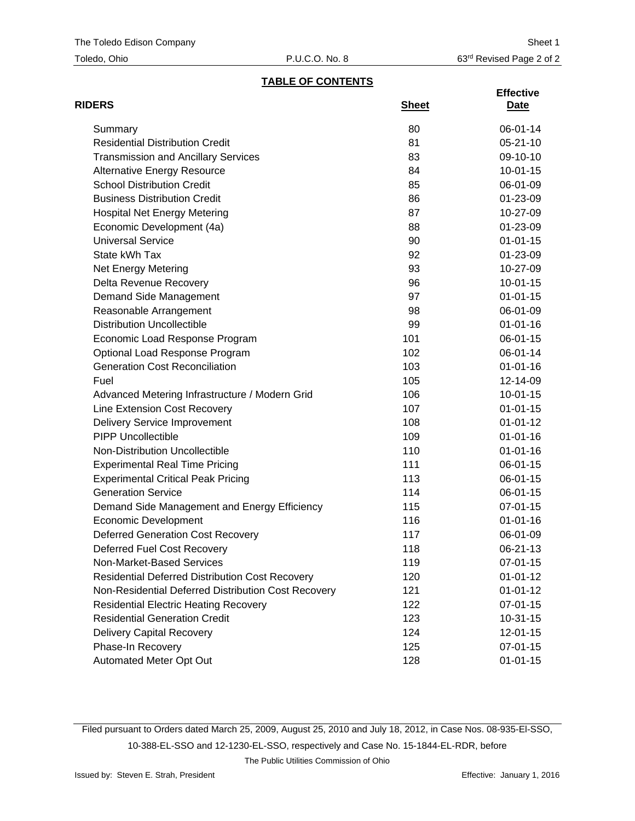| Toledo, Ohio |  |
|--------------|--|
|--------------|--|

# **TABLE OF CONTENTS**

| <b>RIDERS</b>                                          | <b>Sheet</b> | <b>Effective</b><br><u>Date</u> |
|--------------------------------------------------------|--------------|---------------------------------|
| Summary                                                | 80           | 06-01-14                        |
| <b>Residential Distribution Credit</b>                 | 81           | $05 - 21 - 10$                  |
| <b>Transmission and Ancillary Services</b>             | 83           | 09-10-10                        |
| <b>Alternative Energy Resource</b>                     | 84           | $10-01-15$                      |
| <b>School Distribution Credit</b>                      | 85           | 06-01-09                        |
| <b>Business Distribution Credit</b>                    | 86           | 01-23-09                        |
| <b>Hospital Net Energy Metering</b>                    | 87           | 10-27-09                        |
| Economic Development (4a)                              | 88           | 01-23-09                        |
| <b>Universal Service</b>                               | 90           | $01 - 01 - 15$                  |
| State kWh Tax                                          | 92           | 01-23-09                        |
| Net Energy Metering                                    | 93           | 10-27-09                        |
| Delta Revenue Recovery                                 | 96           | $10-01-15$                      |
| Demand Side Management                                 | 97           | $01 - 01 - 15$                  |
| Reasonable Arrangement                                 | 98           | 06-01-09                        |
| <b>Distribution Uncollectible</b>                      | 99           | $01 - 01 - 16$                  |
| Economic Load Response Program                         | 101          | 06-01-15                        |
| Optional Load Response Program                         | 102          | 06-01-14                        |
| <b>Generation Cost Reconciliation</b>                  | 103          | $01 - 01 - 16$                  |
| Fuel                                                   | 105          | 12-14-09                        |
| Advanced Metering Infrastructure / Modern Grid         | 106          | $10-01-15$                      |
| Line Extension Cost Recovery                           | 107          | $01 - 01 - 15$                  |
| Delivery Service Improvement                           | 108          | $01 - 01 - 12$                  |
| <b>PIPP Uncollectible</b>                              | 109          | $01 - 01 - 16$                  |
| Non-Distribution Uncollectible                         | 110          | $01 - 01 - 16$                  |
| <b>Experimental Real Time Pricing</b>                  | 111          | 06-01-15                        |
| <b>Experimental Critical Peak Pricing</b>              | 113          | 06-01-15                        |
| <b>Generation Service</b>                              | 114          | 06-01-15                        |
| Demand Side Management and Energy Efficiency           | 115          | $07 - 01 - 15$                  |
| <b>Economic Development</b>                            | 116          | $01 - 01 - 16$                  |
| <b>Deferred Generation Cost Recovery</b>               | 117          | 06-01-09                        |
| Deferred Fuel Cost Recovery                            | 118          | 06-21-13                        |
| Non-Market-Based Services                              | 119          | 07-01-15                        |
| <b>Residential Deferred Distribution Cost Recovery</b> | 120          | $01 - 01 - 12$                  |
| Non-Residential Deferred Distribution Cost Recovery    | 121          | $01 - 01 - 12$                  |
| <b>Residential Electric Heating Recovery</b>           | 122          | 07-01-15                        |
| <b>Residential Generation Credit</b>                   | 123          | $10-31-15$                      |
| <b>Delivery Capital Recovery</b>                       | 124          | 12-01-15                        |
| Phase-In Recovery                                      | 125          | 07-01-15                        |
| Automated Meter Opt Out                                | 128          | $01 - 01 - 15$                  |

Filed pursuant to Orders dated March 25, 2009, August 25, 2010 and July 18, 2012, in Case Nos. 08-935-El-SSO, 10-388-EL-SSO and 12-1230-EL-SSO, respectively and Case No. 15-1844-EL-RDR, before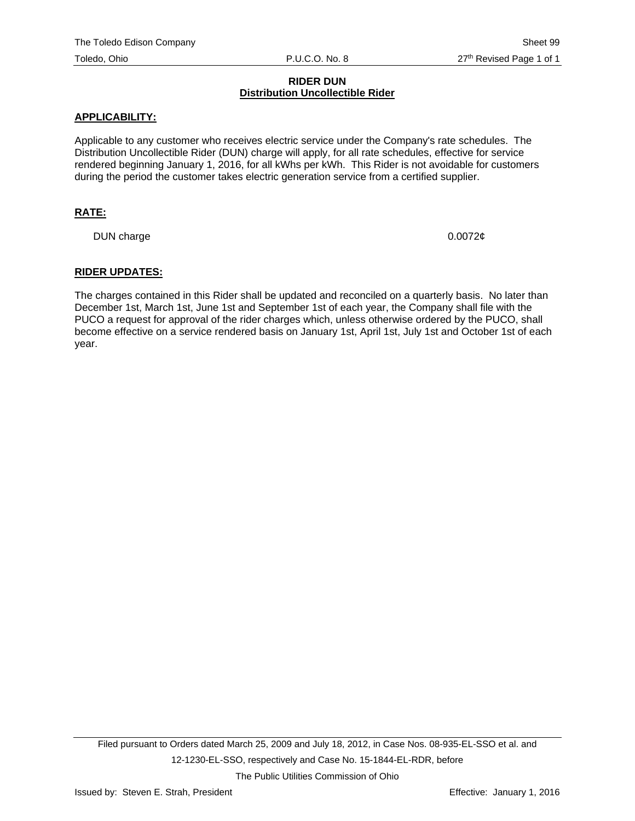#### **RIDER DUN Distribution Uncollectible Rider**

#### **APPLICABILITY:**

Applicable to any customer who receives electric service under the Company's rate schedules. The Distribution Uncollectible Rider (DUN) charge will apply, for all rate schedules, effective for service rendered beginning January 1, 2016, for all kWhs per kWh. This Rider is not avoidable for customers during the period the customer takes electric generation service from a certified supplier.

#### **RATE:**

DUN charge 0.0072¢

#### **RIDER UPDATES:**

The charges contained in this Rider shall be updated and reconciled on a quarterly basis. No later than December 1st, March 1st, June 1st and September 1st of each year, the Company shall file with the PUCO a request for approval of the rider charges which, unless otherwise ordered by the PUCO, shall become effective on a service rendered basis on January 1st, April 1st, July 1st and October 1st of each year.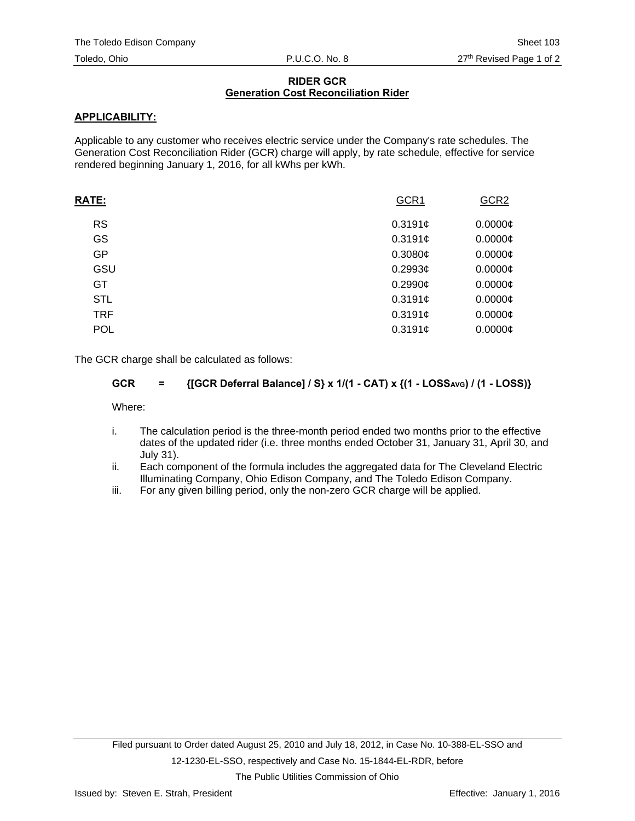#### **RIDER GCR Generation Cost Reconciliation Rider**

# **APPLICABILITY:**

Applicable to any customer who receives electric service under the Company's rate schedules. The Generation Cost Reconciliation Rider (GCR) charge will apply, by rate schedule, effective for service rendered beginning January 1, 2016, for all kWhs per kWh.

| <b>RATE:</b> | GCR1       | GCR <sub>2</sub> |
|--------------|------------|------------------|
| <b>RS</b>    | 0.3191c    | $0.0000$ ¢       |
| GS           | 0.3191c    | $0.0000$ ¢       |
| GP           | 0.3080¢    | $0.0000$ ¢       |
| GSU          | $0.2993$ ¢ | $0.0000$ ¢       |
| GT           | $0.2990$ ¢ | $0.0000$ ¢       |
| <b>STL</b>   | 0.3191c    | $0.0000$ ¢       |
| <b>TRF</b>   | 0.3191c    | $0.0000$ ¢       |
| <b>POL</b>   | 0.3191c    | $0.0000$ ¢       |
|              |            |                  |

The GCR charge shall be calculated as follows:

# GCR = {[GCR Deferral Balance] / S} x 1/(1 - CAT) x {(1 - LOSS<sub>AVG</sub>) / (1 - LOSS)}

Where:

- i. The calculation period is the three-month period ended two months prior to the effective dates of the updated rider (i.e. three months ended October 31, January 31, April 30, and July 31).
- ii. Each component of the formula includes the aggregated data for The Cleveland Electric Illuminating Company, Ohio Edison Company, and The Toledo Edison Company.
- iii. For any given billing period, only the non-zero GCR charge will be applied.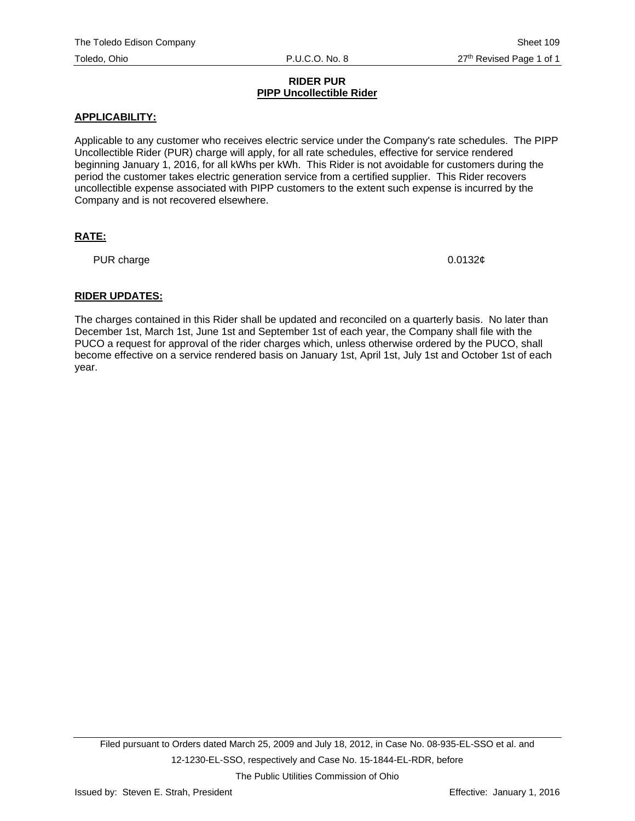#### **RIDER PUR PIPP Uncollectible Rider**

# **APPLICABILITY:**

Applicable to any customer who receives electric service under the Company's rate schedules. The PIPP Uncollectible Rider (PUR) charge will apply, for all rate schedules, effective for service rendered beginning January 1, 2016, for all kWhs per kWh. This Rider is not avoidable for customers during the period the customer takes electric generation service from a certified supplier. This Rider recovers uncollectible expense associated with PIPP customers to the extent such expense is incurred by the Company and is not recovered elsewhere.

# **RATE:**

PUR charge  $0.0132\ell$ 

# **RIDER UPDATES:**

The charges contained in this Rider shall be updated and reconciled on a quarterly basis. No later than December 1st, March 1st, June 1st and September 1st of each year, the Company shall file with the PUCO a request for approval of the rider charges which, unless otherwise ordered by the PUCO, shall become effective on a service rendered basis on January 1st, April 1st, July 1st and October 1st of each year.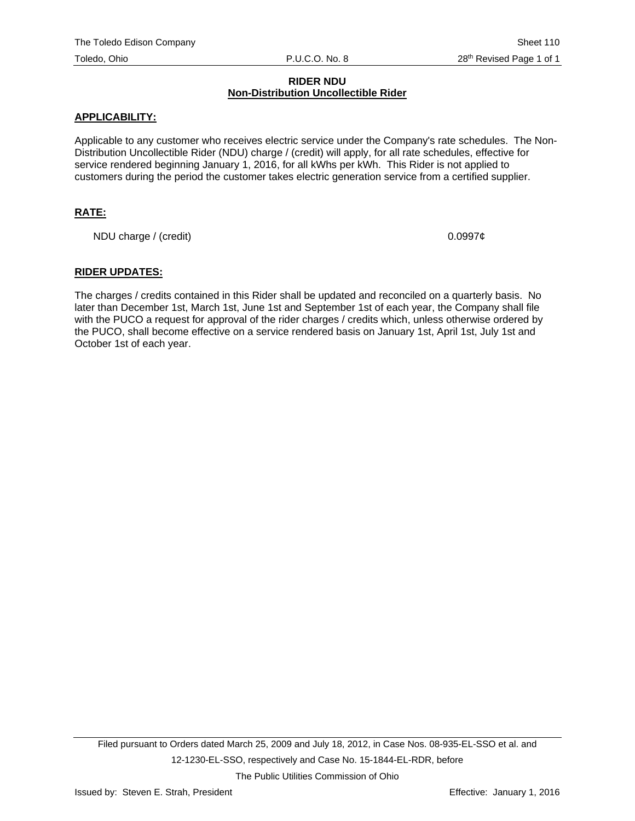#### **RIDER NDU Non-Distribution Uncollectible Rider**

#### **APPLICABILITY:**

Applicable to any customer who receives electric service under the Company's rate schedules. The Non-Distribution Uncollectible Rider (NDU) charge / (credit) will apply, for all rate schedules, effective for service rendered beginning January 1, 2016, for all kWhs per kWh. This Rider is not applied to customers during the period the customer takes electric generation service from a certified supplier.

# **RATE:**

NDU charge / (credit)  $0.0997¢$ 

#### **RIDER UPDATES:**

The charges / credits contained in this Rider shall be updated and reconciled on a quarterly basis. No later than December 1st, March 1st, June 1st and September 1st of each year, the Company shall file with the PUCO a request for approval of the rider charges / credits which, unless otherwise ordered by the PUCO, shall become effective on a service rendered basis on January 1st, April 1st, July 1st and October 1st of each year.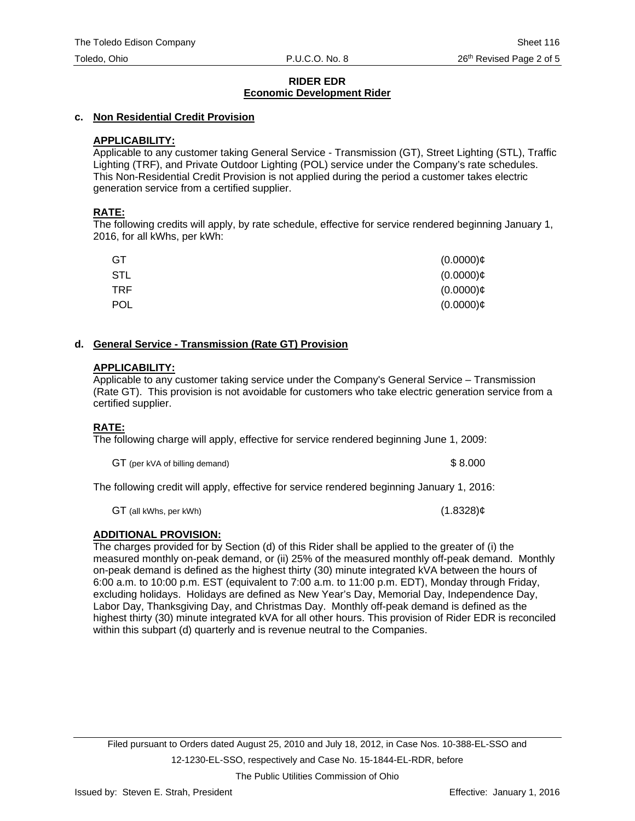# **c. Non Residential Credit Provision**

# **APPLICABILITY:**

Applicable to any customer taking General Service - Transmission (GT), Street Lighting (STL), Traffic Lighting (TRF), and Private Outdoor Lighting (POL) service under the Company's rate schedules. This Non-Residential Credit Provision is not applied during the period a customer takes electric generation service from a certified supplier.

# **RATE:**

The following credits will apply, by rate schedule, effective for service rendered beginning January 1, 2016, for all kWhs, per kWh:

| GT         | $(0.0000)$ ¢ |
|------------|--------------|
| STL        | $(0.0000)$ ¢ |
| <b>TRF</b> | $(0.0000)$ ¢ |
| <b>POL</b> | $(0.0000)$ ¢ |

# **d. General Service - Transmission (Rate GT) Provision**

# **APPLICABILITY:**

Applicable to any customer taking service under the Company's General Service – Transmission (Rate GT). This provision is not avoidable for customers who take electric generation service from a certified supplier.

# **RATE:**

The following charge will apply, effective for service rendered beginning June 1, 2009:

GT (per kVA of billing demand)  $$8.000$ 

The following credit will apply, effective for service rendered beginning January 1, 2016:

 $GT$  (all kWhs, per kWh) (1.8328) $\phi$ 

# **ADDITIONAL PROVISION:**

The charges provided for by Section (d) of this Rider shall be applied to the greater of (i) the measured monthly on-peak demand, or (ii) 25% of the measured monthly off-peak demand. Monthly on-peak demand is defined as the highest thirty (30) minute integrated kVA between the hours of 6:00 a.m. to 10:00 p.m. EST (equivalent to 7:00 a.m. to 11:00 p.m. EDT), Monday through Friday, excluding holidays. Holidays are defined as New Year's Day, Memorial Day, Independence Day, Labor Day, Thanksgiving Day, and Christmas Day. Monthly off-peak demand is defined as the highest thirty (30) minute integrated kVA for all other hours. This provision of Rider EDR is reconciled within this subpart (d) quarterly and is revenue neutral to the Companies.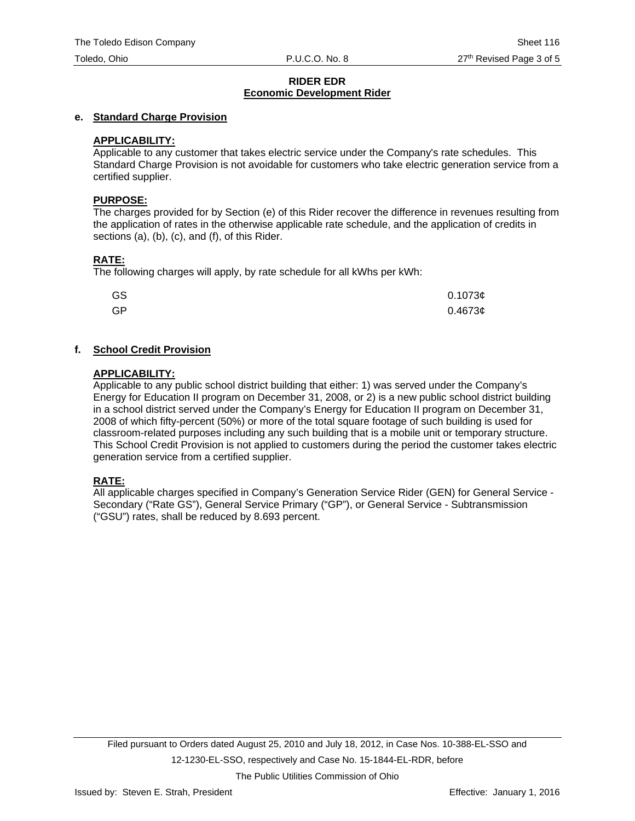#### **e. Standard Charge Provision**

#### **APPLICABILITY:**

Applicable to any customer that takes electric service under the Company's rate schedules. This Standard Charge Provision is not avoidable for customers who take electric generation service from a certified supplier.

#### **PURPOSE:**

The charges provided for by Section (e) of this Rider recover the difference in revenues resulting from the application of rates in the otherwise applicable rate schedule, and the application of credits in sections (a), (b), (c), and (f), of this Rider.

# **RATE:**

The following charges will apply, by rate schedule for all kWhs per kWh:

| GS | 0.1073c |
|----|---------|
| GP | 0.46736 |

# **f. School Credit Provision**

#### **APPLICABILITY:**

Applicable to any public school district building that either: 1) was served under the Company's Energy for Education II program on December 31, 2008, or 2) is a new public school district building in a school district served under the Company's Energy for Education II program on December 31, 2008 of which fifty-percent (50%) or more of the total square footage of such building is used for classroom-related purposes including any such building that is a mobile unit or temporary structure. This School Credit Provision is not applied to customers during the period the customer takes electric generation service from a certified supplier.

# **RATE:**

All applicable charges specified in Company's Generation Service Rider (GEN) for General Service - Secondary ("Rate GS"), General Service Primary ("GP"), or General Service - Subtransmission ("GSU") rates, shall be reduced by 8.693 percent.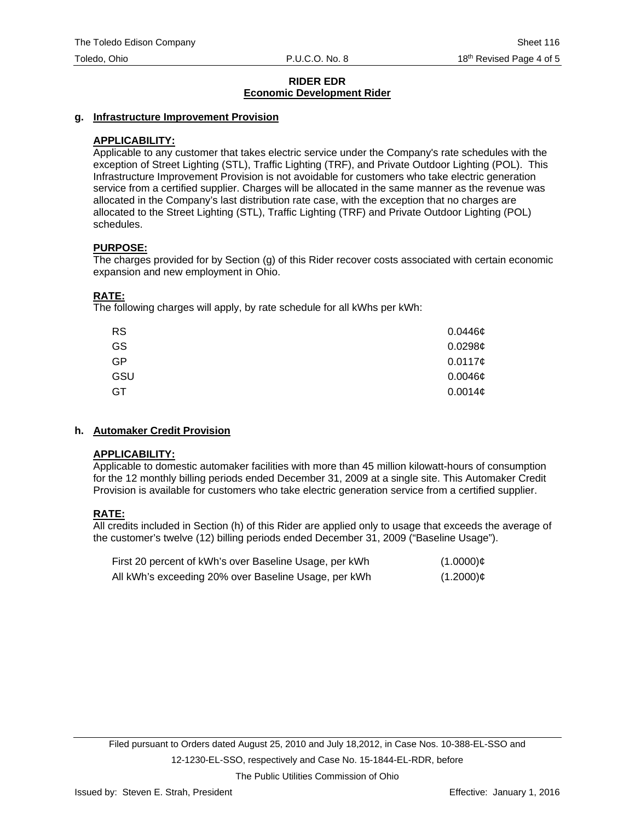# **g. Infrastructure Improvement Provision**

# **APPLICABILITY:**

Applicable to any customer that takes electric service under the Company's rate schedules with the exception of Street Lighting (STL), Traffic Lighting (TRF), and Private Outdoor Lighting (POL). This Infrastructure Improvement Provision is not avoidable for customers who take electric generation service from a certified supplier. Charges will be allocated in the same manner as the revenue was allocated in the Company's last distribution rate case, with the exception that no charges are allocated to the Street Lighting (STL), Traffic Lighting (TRF) and Private Outdoor Lighting (POL) schedules.

#### **PURPOSE:**

The charges provided for by Section (g) of this Rider recover costs associated with certain economic expansion and new employment in Ohio.

# **RATE:**

The following charges will apply, by rate schedule for all kWhs per kWh:

| <b>RS</b> | $0.0446\phi$ |
|-----------|--------------|
| GS        | 0.0298c      |
| <b>GP</b> | 0.0117c      |
| GSU       | $0.0046\phi$ |
| GT        | 0.0014c      |

# **h. Automaker Credit Provision**

# **APPLICABILITY:**

Applicable to domestic automaker facilities with more than 45 million kilowatt-hours of consumption for the 12 monthly billing periods ended December 31, 2009 at a single site. This Automaker Credit Provision is available for customers who take electric generation service from a certified supplier.

# **RATE:**

All credits included in Section (h) of this Rider are applied only to usage that exceeds the average of the customer's twelve (12) billing periods ended December 31, 2009 ("Baseline Usage").

| First 20 percent of kWh's over Baseline Usage, per kWh | $(1.0000)$ ¢ |
|--------------------------------------------------------|--------------|
| All kWh's exceeding 20% over Baseline Usage, per kWh   | $(1.2000)$ ¢ |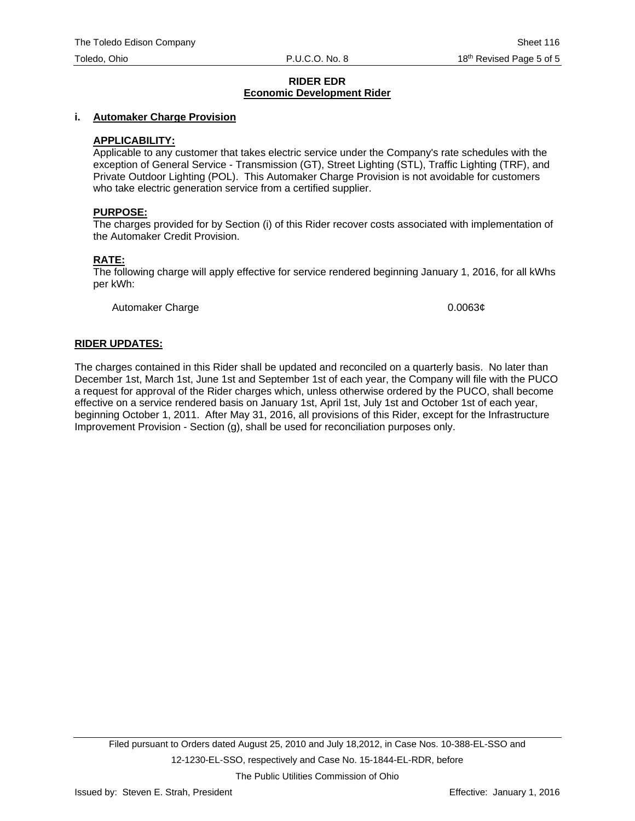#### **i. Automaker Charge Provision**

#### **APPLICABILITY:**

Applicable to any customer that takes electric service under the Company's rate schedules with the exception of General Service - Transmission (GT), Street Lighting (STL), Traffic Lighting (TRF), and Private Outdoor Lighting (POL). This Automaker Charge Provision is not avoidable for customers who take electric generation service from a certified supplier.

#### **PURPOSE:**

The charges provided for by Section (i) of this Rider recover costs associated with implementation of the Automaker Credit Provision.

#### **RATE:**

The following charge will apply effective for service rendered beginning January 1, 2016, for all kWhs per kWh:

Automaker Charge 0.0063¢

#### **RIDER UPDATES:**

The charges contained in this Rider shall be updated and reconciled on a quarterly basis. No later than December 1st, March 1st, June 1st and September 1st of each year, the Company will file with the PUCO a request for approval of the Rider charges which, unless otherwise ordered by the PUCO, shall become effective on a service rendered basis on January 1st, April 1st, July 1st and October 1st of each year, beginning October 1, 2011. After May 31, 2016, all provisions of this Rider, except for the Infrastructure Improvement Provision - Section (g), shall be used for reconciliation purposes only.